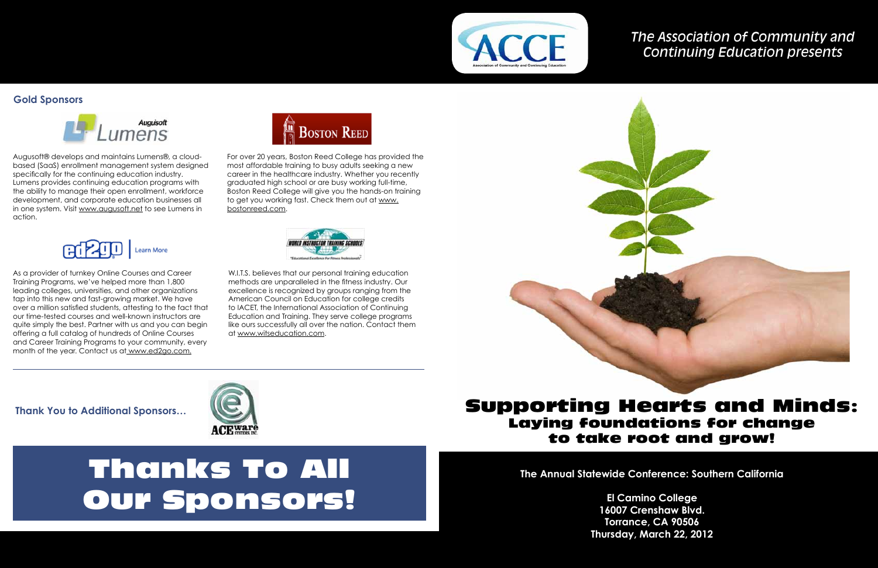# *The Association of Community and Continuing Education presents*

# Supporting Hearts and Minds: Laying foundations for change to take root and grow!

**The Annual Statewide Conference: Southern California** 

**El Camino College 16007 Crenshaw Blvd. Torrance, CA 90506 Thursday, March 22, 2012**

# Thanks To All Our Sponsors!

Augusoft® develops and maintains Lumens®, a cloudbased (SaaS) enrollment management system designed specifically for the continuing education industry. Lumens provides continuing education programs with the ability to manage their open enrollment, workforce development, and corporate education businesses all in one system. Visit www.augusoft.net to see Lumens in action.



W.I.T.S. believes that our personal training education methods are unparalleled in the fitness industry. Our excellence is recognized by groups ranging from the American Council on Education for college credits to IACET, the International Association of Continuing Education and Training. They serve college programs like ours successfully all over the nation. Contact them at www.witseducation.com.



For over 20 years, Boston Reed College has provided the most affordable training to busy adults seeking a new career in the healthcare industry. Whether you recently graduated high school or are busy working full-time, Boston Reed College will give you the hands-on training to get you working fast. Check them out at www. bostonreed.com.



**Thank You to Additional Sponsors…**



## **Gold Sponsors**



As a provider of turnkey Online Courses and Career Training Programs, we've helped more than 1,800 leading colleges, universities, and other organizations tap into this new and fast-growing market. We have over a million satisfied students, attesting to the fact that our time-tested courses and well-known instructors are quite simply the best. Partner with us and you can begin offering a full catalog of hundreds of Online Courses and Career Training Programs to your community, every month of the year. Contact us at www.ed2go.com.